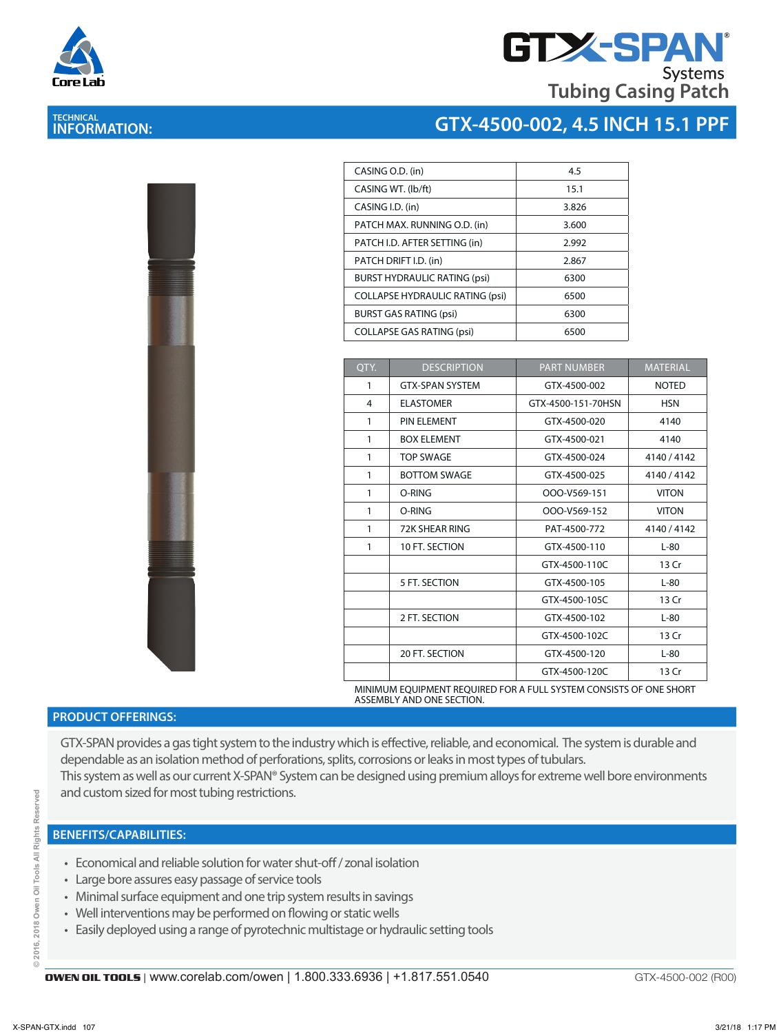

# **TECHNICAL INFORMATION:**



## **GTX-4500-002, 4.5 INCH 15.1 PPF**

| 4.5   |
|-------|
| 15.1  |
| 3.826 |
| 3.600 |
| 2.992 |
| 2.867 |
| 6300  |
| 6500  |
| 6300  |
| 6500  |
|       |

| QTY.         | <b>DESCRIPTION</b>     | <b>PART NUMBER</b> | <b>MATERIAL</b> |
|--------------|------------------------|--------------------|-----------------|
| 1            | <b>GTX-SPAN SYSTEM</b> | GTX-4500-002       | <b>NOTED</b>    |
| 4            | <b>ELASTOMER</b>       | GTX-4500-151-70HSN | <b>HSN</b>      |
| 1            | <b>PIN ELEMENT</b>     | GTX-4500-020       | 4140            |
| 1            | <b>BOX ELEMENT</b>     | GTX-4500-021       | 4140            |
| $\mathbf{1}$ | <b>TOP SWAGE</b>       | GTX-4500-024       | 4140 / 4142     |
| 1            | <b>BOTTOM SWAGE</b>    | GTX-4500-025       | 4140 / 4142     |
| 1            | O-RING                 | OOO-V569-151       | <b>VITON</b>    |
| 1            | O-RING                 | OOO-V569-152       | <b>VITON</b>    |
| 1            | 72K SHEAR RING         | PAT-4500-772       | 4140 / 4142     |
| 1            | 10 FT. SECTION         | GTX-4500-110       | $L-80$          |
|              |                        | GTX-4500-110C      | 13 Cr           |
|              | 5 FT. SECTION          | GTX-4500-105       | $L-80$          |
|              |                        | GTX-4500-105C      | 13 Cr           |
|              | 2 FT. SECTION          | GTX-4500-102       | $L-80$          |
|              |                        | GTX-4500-102C      | 13 Cr           |
|              | 20 FT. SECTION         | GTX-4500-120       | $L-80$          |
|              |                        | GTX-4500-120C      | 13 Cr           |

MINIMUM EQUIPMENT REQUIRED FOR A FULL SYSTEM CONSISTS OF ONE SHORT ASSEMBLY AND ONE SECTION.

### **PRODUCT OFFERINGS:**

GTX-SPAN provides a gas tight system to the industry which is effective, reliable, and economical. The system is durable and dependable as an isolation method of perforations, splits, corrosions or leaks in most types of tubulars. This system as well as our current X-SPAN® System can be designed using premium alloys for extreme well bore environments and custom sized for most tubing restrictions.

#### **BENEFITS/CAPABILITIES:**

- Economical and reliable solution for water shut-off / zonal isolation
- Large bore assures easy passage of service tools
- Minimal surface equipment and one trip system results in savings
- Well interventions may be performed on flowing or static wells
- Easily deployed using a range of pyrotechnic multistage or hydraulic setting tools

GTX-4500-002 (R00)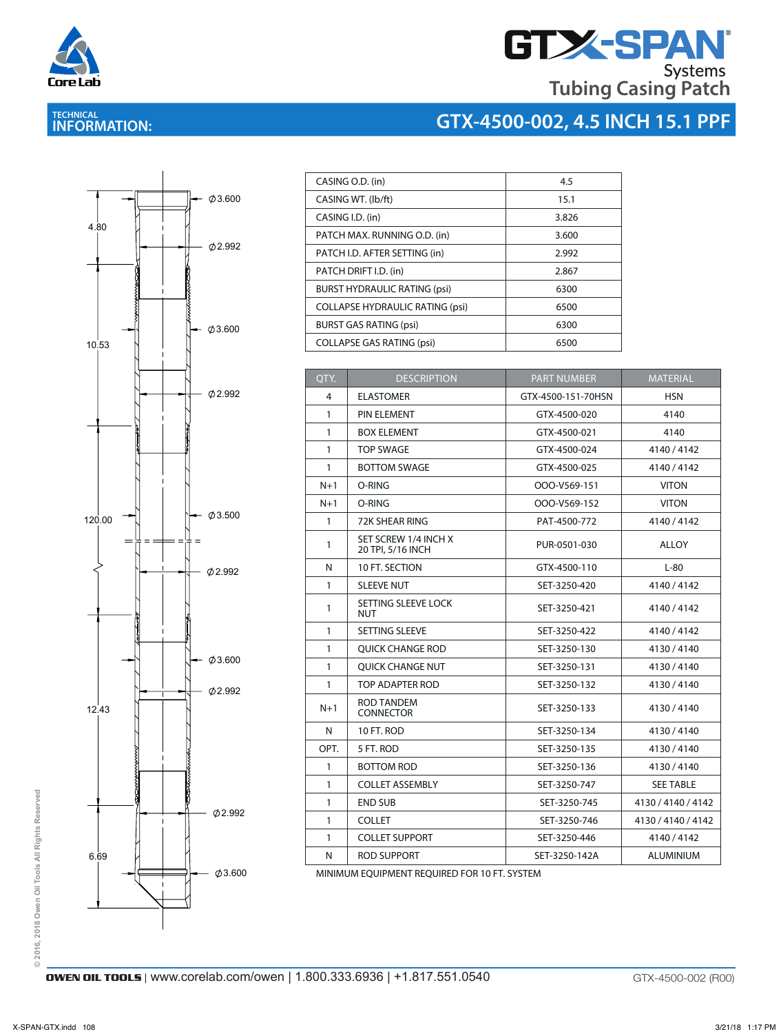

**TECHNICAL INFORMATION:** 

# **GTX-SPAN Tubing Casing Patch**

# **GTX-4500-002, 4.5 INCH 15.1 PPF**



| CASING O.D. (in)                       | 4.5   |
|----------------------------------------|-------|
| CASING WT. (lb/ft)                     | 15.1  |
| CASING I.D. (in)                       | 3.826 |
| PATCH MAX. RUNNING O.D. (in)           | 3.600 |
| PATCH I.D. AFTER SETTING (in)          | 2.992 |
| PATCH DRIFT I.D. (in)                  | 2.867 |
| <b>BURST HYDRAULIC RATING (psi)</b>    | 6300  |
| <b>COLLAPSE HYDRAULIC RATING (psi)</b> | 6500  |
| <b>BURST GAS RATING (psi)</b>          | 6300  |
| <b>COLLAPSE GAS RATING (psi)</b>       | 6500  |

| QTY.  | <b>DESCRIPTION</b>                        | <b>PART NUMBER</b> | <b>MATERIAL</b>    |
|-------|-------------------------------------------|--------------------|--------------------|
| 4     | <b>ELASTOMER</b>                          | GTX-4500-151-70HSN | <b>HSN</b>         |
| 1     | PIN ELEMENT                               | GTX-4500-020       | 4140               |
| 1     | <b>BOX ELEMENT</b>                        | GTX-4500-021       | 4140               |
| 1     | <b>TOP SWAGE</b>                          | GTX-4500-024       | 4140/4142          |
| 1     | <b>BOTTOM SWAGE</b>                       | GTX-4500-025       | 4140 / 4142        |
| $N+1$ | O-RING                                    | OOO-V569-151       | <b>VITON</b>       |
| $N+1$ | O-RING                                    | OOO-V569-152       | <b>VITON</b>       |
| 1     | 72K SHEAR RING                            | PAT-4500-772       | 4140/4142          |
| 1     | SET SCREW 1/4 INCH X<br>20 TPI, 5/16 INCH | PUR-0501-030       | <b>ALLOY</b>       |
| N     | 10 FT. SECTION                            | GTX-4500-110       | $L-80$             |
| 1     | <b>SLEEVE NUT</b>                         | SET-3250-420       | 4140/4142          |
| 1     | SETTING SLEEVE LOCK<br><b>NUT</b>         | SET-3250-421       | 4140/4142          |
| 1     | <b>SETTING SLEEVE</b>                     | SET-3250-422       | 4140/4142          |
| 1     | <b>OUICK CHANGE ROD</b>                   | SET-3250-130       | 4130/4140          |
| 1     | <b>OUICK CHANGE NUT</b>                   | SET-3250-131       | 4130/4140          |
| 1     | TOP ADAPTER ROD                           | SET-3250-132       | 4130/4140          |
| $N+1$ | ROD TANDEM<br><b>CONNECTOR</b>            | SET-3250-133       | 4130/4140          |
| N     | 10 FT. ROD                                | SET-3250-134       | 4130/4140          |
| OPT.  | 5 FT. ROD                                 | SET-3250-135       | 4130/4140          |
| 1     | <b>BOTTOM ROD</b>                         | SET-3250-136       | 4130/4140          |
| 1     | <b>COLLET ASSEMBLY</b>                    | SET-3250-747       | <b>SEE TABLE</b>   |
| 1     | <b>END SUB</b>                            | SET-3250-745       | 4130 / 4140 / 4142 |
| 1     | <b>COLLET</b>                             | SET-3250-746       | 4130 / 4140 / 4142 |
| 1     | <b>COLLET SUPPORT</b>                     | SET-3250-446       | 4140/4142          |
| N     | ROD SUPPORT                               | SET-3250-142A      | <b>ALUMINIUM</b>   |

MINIMUM EQUIPMENT REQUIRED FOR 10 FT. SYSTEM

© 2016, 2018 Owen Oil Tools All Rights Reserved **© 2016, 2018 Owen Oil Tools All Rights Reserved**